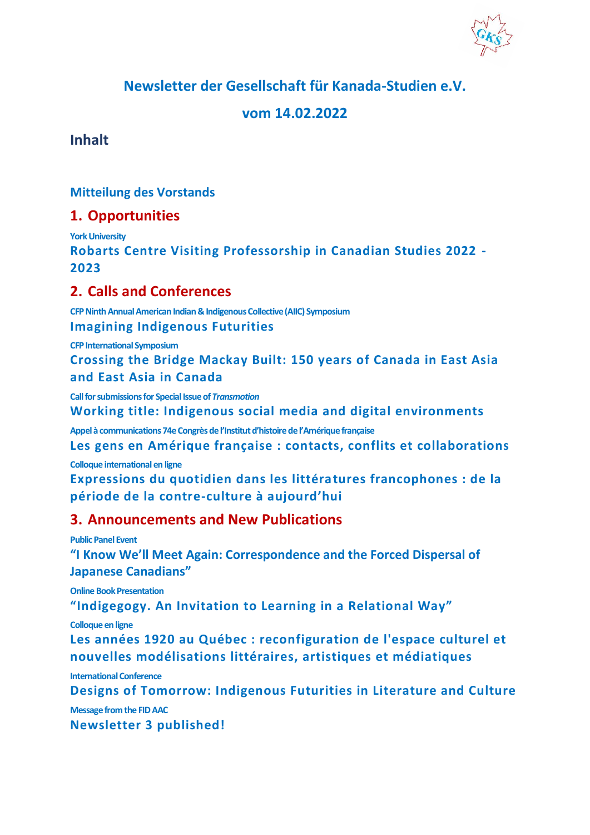**Newsletter der Gesellschaft für Kanada-Studien e.V.**

# **vom 14.02.2022**

**Inhalt**

**[Mitteilung des Vorstands](#page-1-0)**

# **1. [Opportunities](#page-1-1)**

**[York University](#page-1-2) [Robarts Centre Visiting Professorship in Canadian Studies 2022 -](#page-1-3) [2023](#page-1-3)**

# **2. [Calls and Conferences](#page-2-0)**

**[CFP Ninth Annual American Indian & Indigenous Collective \(AIIC\) Symposium](#page-2-1) [Imagining Indigenous Futurities](#page-2-2)**

**[CFP InternationalSymposium](#page-4-0) [Crossing the Bridge Mackay Built: 150 years of Canada in East Asia](#page-4-1)  [and East Asia in Canada](#page-4-1)**

**[Call for submissions for Special Issue of](#page-5-0)** *Transmotion* **[Working title: Indigenous social media and digital environments](#page-5-1)**

**Appel à c[ommunications 74e Congrès de l'Institut d'histoire de l'Amérique française](#page-7-0)**

**[Les gens en Amérique française : contacts, conflits et collaborations](#page-7-1) [Colloque international en ligne](#page-7-2)**

**[Expressions du quotidien dans les littératures francophones : de la](#page-7-3)  période de la contre-[culture à aujourd'hui](#page-7-3)**

# **3. [Announcements and New Publications](#page-11-0)**

**[Public Panel Event](#page-11-1)**

**["I Know We'll Meet Again: Correspondenc](#page-11-2)e and the Forced Dispersal of [Japanese Canadians"](#page-11-2)**

**[Online Book Presentation](#page-12-0)**

**["Indigegogy. An Invitation to Learning in a Relational Way"](#page-12-1)**

**[Colloque en ligne](#page-12-2)**

**[Les années 1920 au Québec : reconfiguration de l'espace culturel et](#page-12-3)  [nouvelles modélisations littéraires, artistiques et médiatiques](#page-12-3)**

**[International Conference](#page-13-0)**

**[Designs of Tomorrow: Indigenous Futurities in Literature and Culture](#page-13-1)**

**[Message from the FID AAC](#page-14-0)**

**[Newsletter 3 published!](#page-14-1)**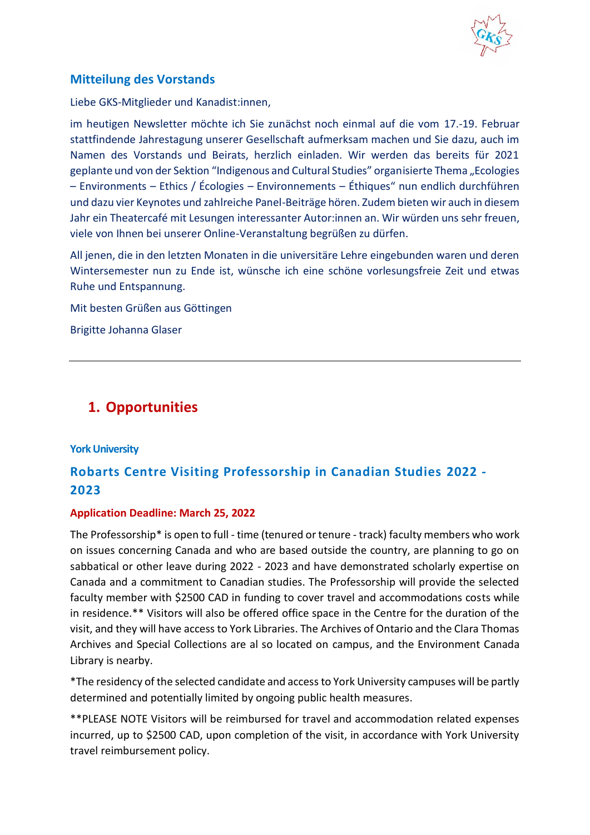

# <span id="page-1-0"></span>**Mitteilung des Vorstands**

Liebe GKS-Mitglieder und Kanadist:innen,

im heutigen Newsletter möchte ich Sie zunächst noch einmal auf die vom 17.-19. Februar stattfindende Jahrestagung unserer Gesellschaft aufmerksam machen und Sie dazu, auch im Namen des Vorstands und Beirats, herzlich einladen. Wir werden das bereits für 2021 geplante und von der Sektion "Indigenous and Cultural Studies" organisierte Thema "Ecologies – Environments – Ethics / Écologies – Environnements – Éthiques" nun endlich durchführen und dazu vier Keynotes und zahlreiche Panel-Beiträge hören. Zudem bieten wir auch in diesem Jahr ein Theatercafé mit Lesungen interessanter Autor:innen an. Wir würden uns sehr freuen, viele von Ihnen bei unserer Online-Veranstaltung begrüßen zu dürfen.

All jenen, die in den letzten Monaten in die universitäre Lehre eingebunden waren und deren Wintersemester nun zu Ende ist, wünsche ich eine schöne vorlesungsfreie Zeit und etwas Ruhe und Entspannung.

Mit besten Grüßen aus Göttingen

Brigitte Johanna Glaser

# <span id="page-1-1"></span>**1. Opportunities**

## <span id="page-1-2"></span>**York University**

# <span id="page-1-3"></span>**Robarts Centre Visiting Professorship in Canadian Studies 2022 - 2023**

## **Application Deadline: March 25, 2022**

The Professorship\* is open to full - time (tenured or tenure - track) faculty members who work on issues concerning Canada and who are based outside the country, are planning to go on sabbatical or other leave during 2022 - 2023 and have demonstrated scholarly expertise on Canada and a commitment to Canadian studies. The Professorship will provide the selected faculty member with \$2500 CAD in funding to cover travel and accommodations costs while in residence.\*\* Visitors will also be offered office space in the Centre for the duration of the visit, and they will have access to York Libraries. The Archives of Ontario and the Clara Thomas Archives and Special Collections are al so located on campus, and the Environment Canada Library is nearby.

\*The residency of the selected candidate and access to York University campuses will be partly determined and potentially limited by ongoing public health measures.

\*\*PLEASE NOTE Visitors will be reimbursed for travel and accommodation related expenses incurred, up to \$2500 CAD, upon completion of the visit, in accordance with York University travel reimbursement policy.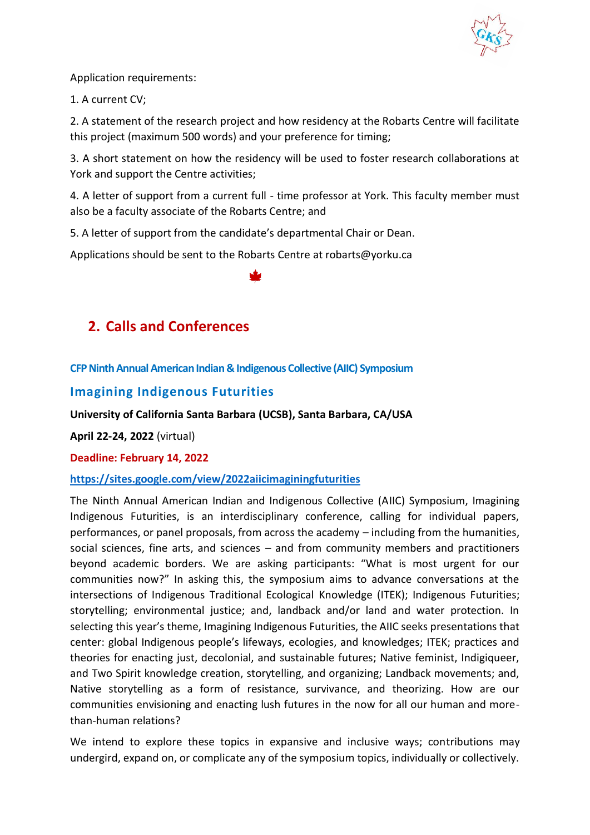

Application requirements:

1. A current CV;

2. A statement of the research project and how residency at the Robarts Centre will facilitate this project (maximum 500 words) and your preference for timing;

3. A short statement on how the residency will be used to foster research collaborations at York and support the Centre activities;

4. A letter of support from a current full - time professor at York. This faculty member must also be a faculty associate of the Robarts Centre; and

5. A letter of support from the candidate's departmental Chair or Dean.

Applications should be sent to the Robarts Centre at robarts@yorku.ca



# <span id="page-2-0"></span>**2. Calls and Conferences**

<span id="page-2-1"></span>**CFP Ninth Annual American Indian & Indigenous Collective (AIIC) Symposium**

# <span id="page-2-2"></span>**Imagining Indigenous Futurities**

**University of California Santa Barbara (UCSB), Santa Barbara, CA/USA**

**April 22-24, 2022** (virtual)

**Deadline: February 14, 2022**

## **<https://sites.google.com/view/2022aiicimaginingfuturities>**

The Ninth Annual American Indian and Indigenous Collective (AIIC) Symposium, Imagining Indigenous Futurities, is an interdisciplinary conference, calling for individual papers, performances, or panel proposals, from across the academy – including from the humanities, social sciences, fine arts, and sciences – and from community members and practitioners beyond academic borders. We are asking participants: "What is most urgent for our communities now?" In asking this, the symposium aims to advance conversations at the intersections of Indigenous Traditional Ecological Knowledge (ITEK); Indigenous Futurities; storytelling; environmental justice; and, landback and/or land and water protection. In selecting this year's theme, Imagining Indigenous Futurities, the AIIC seeks presentations that center: global Indigenous people's lifeways, ecologies, and knowledges; ITEK; practices and theories for enacting just, decolonial, and sustainable futures; Native feminist, Indigiqueer, and Two Spirit knowledge creation, storytelling, and organizing; Landback movements; and, Native storytelling as a form of resistance, survivance, and theorizing. How are our communities envisioning and enacting lush futures in the now for all our human and morethan-human relations?

We intend to explore these topics in expansive and inclusive ways; contributions may undergird, expand on, or complicate any of the symposium topics, individually or collectively.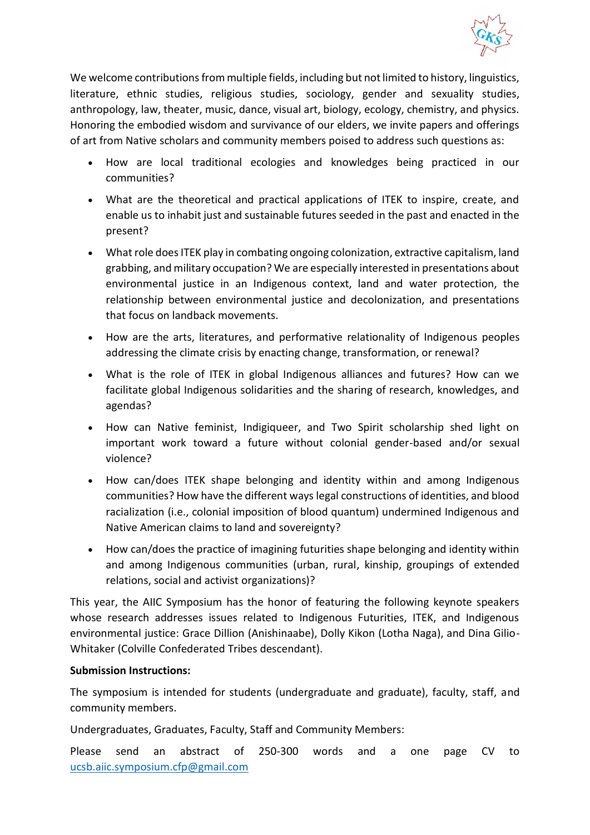

We welcome contributions from multiple fields, including but not limited to history, linguistics, literature, ethnic studies, religious studies, sociology, gender and sexuality studies, anthropology, law, theater, music, dance, visual art, biology, ecology, chemistry, and physics. Honoring the embodied wisdom and survivance of our elders, we invite papers and offerings of art from Native scholars and community members poised to address such questions as:

- How are local traditional ecologies and knowledges being practiced in our communities?
- What are the theoretical and practical applications of ITEK to inspire, create, and enable us to inhabit just and sustainable futures seeded in the past and enacted in the present?
- What role does ITEK play in combating ongoing colonization, extractive capitalism, land grabbing, and military occupation? We are especially interested in presentations about environmental justice in an Indigenous context, land and water protection, the relationship between environmental justice and decolonization, and presentations that focus on landback movements.
- How are the arts, literatures, and performative relationality of Indigenous peoples addressing the climate crisis by enacting change, transformation, or renewal?
- What is the role of ITEK in global Indigenous alliances and futures? How can we facilitate global Indigenous solidarities and the sharing of research, knowledges, and agendas?
- How can Native feminist, Indigiqueer, and Two Spirit scholarship shed light on important work toward a future without colonial gender-based and/or sexual violence?
- How can/does ITEK shape belonging and identity within and among Indigenous communities? How have the different ways legal constructions of identities, and blood racialization (i.e., colonial imposition of blood quantum) undermined Indigenous and Native American claims to land and sovereignty?
- How can/does the practice of imagining futurities shape belonging and identity within and among Indigenous communities (urban, rural, kinship, groupings of extended relations, social and activist organizations)?

This year, the AIIC Symposium has the honor of featuring the following keynote speakers whose research addresses issues related to Indigenous Futurities, ITEK, and Indigenous environmental justice: Grace Dillion (Anishinaabe), Dolly Kikon (Lotha Naga), and Dina Gilio-Whitaker (Colville Confederated Tribes descendant).

## **Submission Instructions:**

The symposium is intended for students (undergraduate and graduate), faculty, staff, and community members.

Undergraduates, Graduates, Faculty, Staff and Community Members:

Please send an abstract of 250-300 words and a one page CV to [ucsb.aiic.symposium.cfp@gmail.com](mailto:ucsb.aiic.symposium.cfp@gmail.com)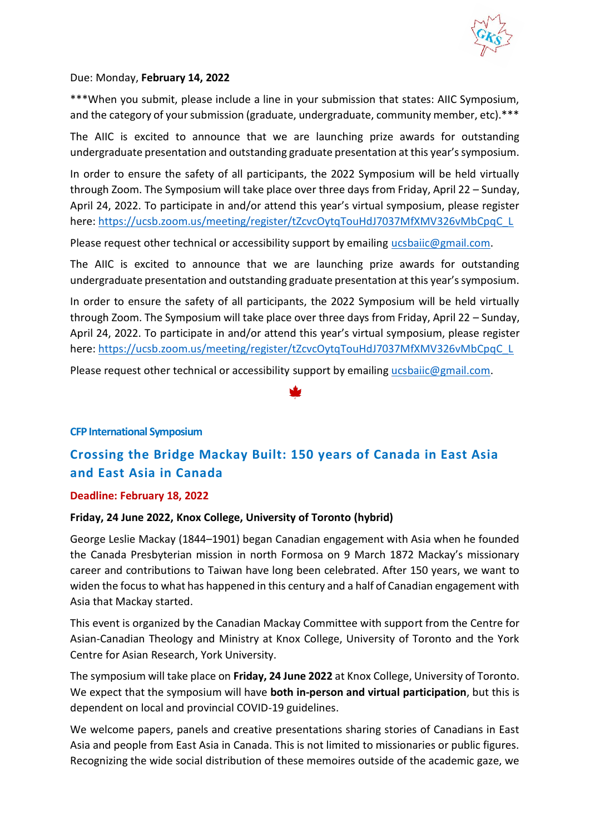

Due: Monday, **February 14, 2022**

\*\*\*When you submit, please include a line in your submission that states: AIIC Symposium, and the category of your submission (graduate, undergraduate, community member, etc).\*\*\*

The AIIC is excited to announce that we are launching prize awards for outstanding undergraduate presentation and outstanding graduate presentation at this year's symposium.

In order to ensure the safety of all participants, the 2022 Symposium will be held virtually through Zoom. The Symposium will take place over three days from Friday, April 22 – Sunday, April 24, 2022. To participate in and/or attend this year's virtual symposium, please register here: [https://ucsb.zoom.us/meeting/register/tZcvcOytqTouHdJ7037MfXMV326vMbCpqC\\_L](https://ucsb.zoom.us/meeting/register/tZcvcOytqTouHdJ7037MfXMV326vMbCpqC_L)

Please request other technical or accessibility support by emailing [ucsbaiic@gmail.com.](mailto:ucsbaiic@gmail.com)

The AIIC is excited to announce that we are launching prize awards for outstanding undergraduate presentation and outstanding graduate presentation at this year's symposium.

In order to ensure the safety of all participants, the 2022 Symposium will be held virtually through Zoom. The Symposium will take place over three days from Friday, April 22 – Sunday, April 24, 2022. To participate in and/or attend this year's virtual symposium, please register here: [https://ucsb.zoom.us/meeting/register/tZcvcOytqTouHdJ7037MfXMV326vMbCpqC\\_L](https://ucsb.zoom.us/meeting/register/tZcvcOytqTouHdJ7037MfXMV326vMbCpqC_L)

Please request other technical or accessibility support by emailing [ucsbaiic@gmail.com.](mailto:ucsbaiic@gmail.com)

## <span id="page-4-0"></span>**CFP International Symposium**

# <span id="page-4-1"></span>**Crossing the Bridge Mackay Built: 150 years of Canada in East Asia and East Asia in Canada**

## **Deadline: February 18, 2022**

## **Friday, 24 June 2022, Knox College, University of Toronto (hybrid)**

George Leslie Mackay (1844–1901) began Canadian engagement with Asia when he founded the Canada Presbyterian mission in north Formosa on 9 March 1872 Mackay's missionary career and contributions to Taiwan have long been celebrated. After 150 years, we want to widen the focus to what has happened in this century and a half of Canadian engagement with Asia that Mackay started.

This event is organized by the Canadian Mackay Committee with support from the Centre for Asian-Canadian Theology and Ministry at Knox College, University of Toronto and the York Centre for Asian Research, York University.

The symposium will take place on **Friday, 24 June 2022** at Knox College, University of Toronto. We expect that the symposium will have **both in-person and virtual participation**, but this is dependent on local and provincial COVID-19 guidelines.

We welcome papers, panels and creative presentations sharing stories of Canadians in East Asia and people from East Asia in Canada. This is not limited to missionaries or public figures. Recognizing the wide social distribution of these memoires outside of the academic gaze, we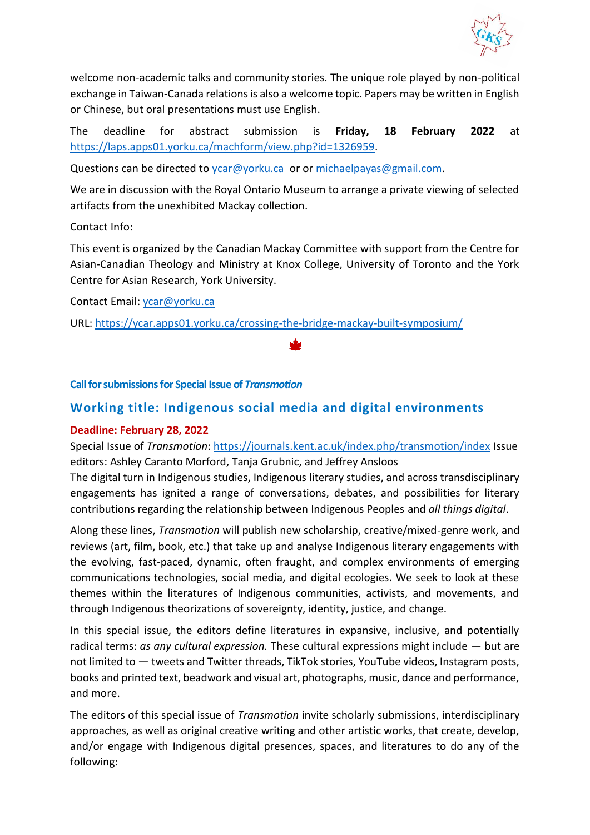

welcome non-academic talks and community stories. The unique role played by non-political exchange in Taiwan-Canada relations is also a welcome topic. Papers may be written in English or Chinese, but oral presentations must use English.

The deadline for abstract submission is **Friday, 18 February 2022** at [https://laps.apps01.yorku.ca/machform/view.php?id=1326959.](https://laps.apps01.yorku.ca/machform/view.php?id=1326959)

Questions can be directed to [ycar@yorku.ca](mailto:ycar@yorku.ca) or o[r michaelpayas@gmail.com.](mailto:michaelpayas@gmail.com)

We are in discussion with the Royal Ontario Museum to arrange a private viewing of selected artifacts from the unexhibited Mackay collection.

Contact Info:

This event is organized by the Canadian Mackay Committee with support from the Centre for Asian-Canadian Theology and Ministry at Knox College, University of Toronto and the York Centre for Asian Research, York University.

Contact Email: [ycar@yorku.ca](mailto:ycar@yorku.ca)

URL: <https://ycar.apps01.yorku.ca/crossing-the-bridge-mackay-built-symposium/>

## <span id="page-5-0"></span>**Call for submissions for Special Issue of** *Transmotion*

# <span id="page-5-1"></span>**Working title: Indigenous social media and digital environments**

## **Deadline: February 28, 2022**

Special Issue of *Transmotion*:<https://journals.kent.ac.uk/index.php/transmotion/index> Issue editors: Ashley Caranto Morford, Tanja Grubnic, and Jeffrey Ansloos

The digital turn in Indigenous studies, Indigenous literary studies, and across transdisciplinary engagements has ignited a range of conversations, debates, and possibilities for literary contributions regarding the relationship between Indigenous Peoples and *all things digital*.

Along these lines, *Transmotion* will publish new scholarship, creative/mixed-genre work, and reviews (art, film, book, etc.) that take up and analyse Indigenous literary engagements with the evolving, fast-paced, dynamic, often fraught, and complex environments of emerging communications technologies, social media, and digital ecologies. We seek to look at these themes within the literatures of Indigenous communities, activists, and movements, and through Indigenous theorizations of sovereignty, identity, justice, and change.

In this special issue, the editors define literatures in expansive, inclusive, and potentially radical terms: *as any cultural expression.* These cultural expressions might include — but are not limited to — tweets and Twitter threads, TikTok stories, YouTube videos, Instagram posts, books and printed text, beadwork and visual art, photographs, music, dance and performance, and more.

The editors of this special issue of *Transmotion* invite scholarly submissions, interdisciplinary approaches, as well as original creative writing and other artistic works, that create, develop, and/or engage with Indigenous digital presences, spaces, and literatures to do any of the following: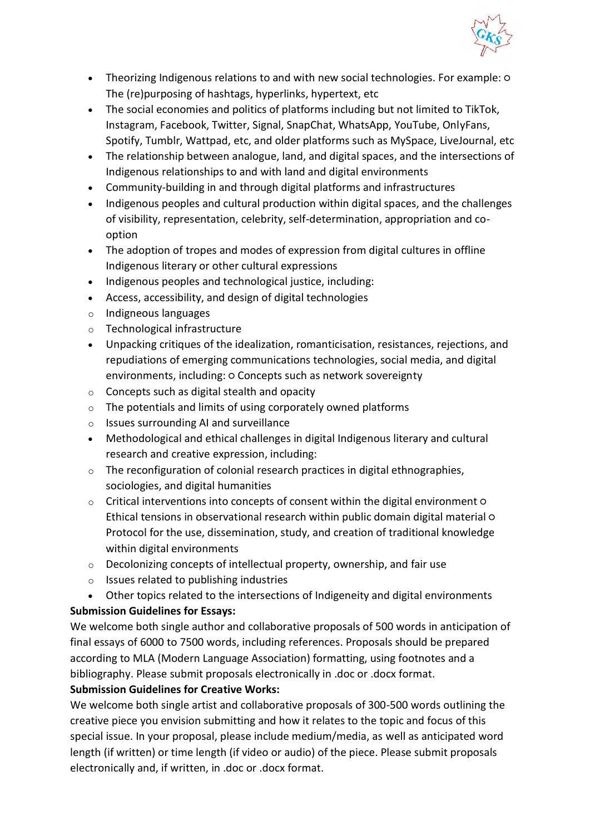

- Theorizing Indigenous relations to and with new social technologies. For example:  $\circ$ The (re)purposing of hashtags, hyperlinks, hypertext, etc
- The social economies and politics of platforms including but not limited to TikTok, Instagram, Facebook, Twitter, Signal, SnapChat, WhatsApp, YouTube, OnlyFans, Spotify, Tumblr, Wattpad, etc, and older platforms such as MySpace, LiveJournal, etc
- The relationship between analogue, land, and digital spaces, and the intersections of Indigenous relationships to and with land and digital environments
- Community-building in and through digital platforms and infrastructures
- Indigenous peoples and cultural production within digital spaces, and the challenges of visibility, representation, celebrity, self-determination, appropriation and cooption
- The adoption of tropes and modes of expression from digital cultures in offline Indigenous literary or other cultural expressions
- Indigenous peoples and technological justice, including:
- Access, accessibility, and design of digital technologies
- o Indigneous languages
- o Technological infrastructure
- Unpacking critiques of the idealization, romanticisation, resistances, rejections, and repudiations of emerging communications technologies, social media, and digital environments, including: o Concepts such as network sovereignty
- $\circ$  Concepts such as digital stealth and opacity
- $\circ$  The potentials and limits of using corporately owned platforms
- o Issues surrounding AI and surveillance
- Methodological and ethical challenges in digital Indigenous literary and cultural research and creative expression, including:
- $\circ$  The reconfiguration of colonial research practices in digital ethnographies, sociologies, and digital humanities
- o Critical interventions into concepts of consent within the digital environment Ethical tensions in observational research within public domain digital material ○ Protocol for the use, dissemination, study, and creation of traditional knowledge within digital environments
- o Decolonizing concepts of intellectual property, ownership, and fair use
- o Issues related to publishing industries
- Other topics related to the intersections of Indigeneity and digital environments

# **Submission Guidelines for Essays:**

We welcome both single author and collaborative proposals of 500 words in anticipation of final essays of 6000 to 7500 words, including references. Proposals should be prepared according to MLA (Modern Language Association) formatting, using footnotes and a bibliography. Please submit proposals electronically in .doc or .docx format.

# **Submission Guidelines for Creative Works:**

We welcome both single artist and collaborative proposals of 300-500 words outlining the creative piece you envision submitting and how it relates to the topic and focus of this special issue. In your proposal, please include medium/media, as well as anticipated word length (if written) or time length (if video or audio) of the piece. Please submit proposals electronically and, if written, in .doc or .docx format.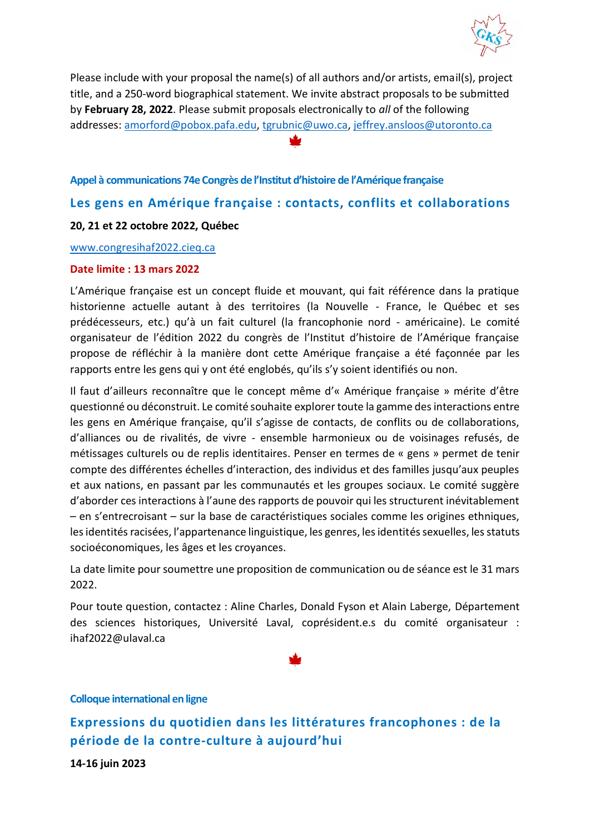

Please include with your proposal the name(s) of all authors and/or artists, email(s), project title, and a 250-word biographical statement. We invite abstract proposals to be submitted by **February 28, 2022**. Please submit proposals electronically to *all* of the following addresses: [amorford@pobox.pafa.edu,](mailto:amorford@pobox.pafa.edu) [tgrubnic@uwo.ca,](mailto:tgrubnic@uwo.ca) [jeffrey.ansloos@utoronto.ca](mailto:jeffrey.ansloos@utoronto.ca)

## <span id="page-7-0"></span>**Appel à communications 74e Congrès de l'Institut d'histoire de l'Amérique française**

# <span id="page-7-1"></span>**Les gens en Amérique française : contacts, conflits et collaborations**

## **20, 21 et 22 octobre 2022, Québec**

<www.congresihaf2022.cieq.ca>

## **Date limite : 13 mars 2022**

L'Amérique française est un concept fluide et mouvant, qui fait référence dans la pratique historienne actuelle autant à des territoires (la Nouvelle - France, le Québec et ses prédécesseurs, etc.) qu'à un fait culturel (la francophonie nord - américaine). Le comité organisateur de l'édition 2022 du congrès de l'Institut d'histoire de l'Amérique française propose de réfléchir à la manière dont cette Amérique française a été façonnée par les rapports entre les gens qui y ont été englobés, qu'ils s'y soient identifiés ou non.

Il faut d'ailleurs reconnaître que le concept même d'« Amérique française » mérite d'être questionné ou déconstruit. Le comité souhaite explorer toute la gamme des interactions entre les gens en Amérique française, qu'il s'agisse de contacts, de conflits ou de collaborations, d'alliances ou de rivalités, de vivre - ensemble harmonieux ou de voisinages refusés, de métissages culturels ou de replis identitaires. Penser en termes de « gens » permet de tenir compte des différentes échelles d'interaction, des individus et des familles jusqu'aux peuples et aux nations, en passant par les communautés et les groupes sociaux. Le comité suggère d'aborder ces interactions à l'aune des rapports de pouvoir qui les structurent inévitablement – en s'entrecroisant – sur la base de caractéristiques sociales comme les origines ethniques, les identités racisées, l'appartenance linguistique, les genres, les identités sexuelles, les statuts socioéconomiques, les âges et les croyances.

La date limite pour soumettre une proposition de communication ou de séance est le 31 mars 2022.

Pour toute question, contactez : Aline Charles, Donald Fyson et Alain Laberge, Département des sciences historiques, Université Laval, coprésident.e.s du comité organisateur : ihaf2022@ulaval.ca

#### <span id="page-7-2"></span>**Colloque international en ligne**

<span id="page-7-3"></span>**Expressions du quotidien dans les littératures francophones : de la période de la contre-culture à aujourd'hui**

**14-16 juin 2023**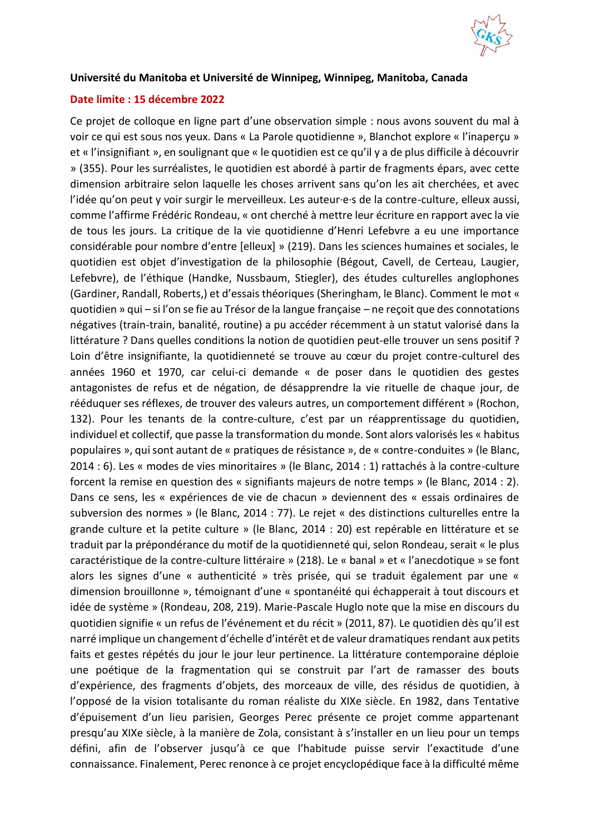

## **Université du Manitoba et Université de Winnipeg, Winnipeg, Manitoba, Canada**

## **Date limite : 15 décembre 2022**

Ce projet de colloque en ligne part d'une observation simple : nous avons souvent du mal à voir ce qui est sous nos yeux. Dans « La Parole quotidienne », Blanchot explore « l'inaperçu » et « l'insignifiant », en soulignant que « le quotidien est ce qu'il y a de plus difficile à découvrir » (355). Pour les surréalistes, le quotidien est abordé à partir de fragments épars, avec cette dimension arbitraire selon laquelle les choses arrivent sans qu'on les ait cherchées, et avec l'idée qu'on peut y voir surgir le merveilleux. Les auteur·e·s de la contre-culture, elleux aussi, comme l'affirme Frédéric Rondeau, « ont cherché à mettre leur écriture en rapport avec la vie de tous les jours. La critique de la vie quotidienne d'Henri Lefebvre a eu une importance considérable pour nombre d'entre [elleux] » (219). Dans les sciences humaines et sociales, le quotidien est objet d'investigation de la philosophie (Bégout, Cavell, de Certeau, Laugier, Lefebvre), de l'éthique (Handke, Nussbaum, Stiegler), des études culturelles anglophones (Gardiner, Randall, Roberts,) et d'essais théoriques (Sheringham, le Blanc). Comment le mot « quotidien » qui – si l'on se fie au Trésor de la langue française – ne reçoit que des connotations négatives (train-train, banalité, routine) a pu accéder récemment à un statut valorisé dans la littérature ? Dans quelles conditions la notion de quotidien peut-elle trouver un sens positif ? Loin d'être insignifiante, la quotidienneté se trouve au cœur du projet contre-culturel des années 1960 et 1970, car celui-ci demande « de poser dans le quotidien des gestes antagonistes de refus et de négation, de désapprendre la vie rituelle de chaque jour, de rééduquer ses réflexes, de trouver des valeurs autres, un comportement différent » (Rochon, 132). Pour les tenants de la contre-culture, c'est par un réapprentissage du quotidien, individuel et collectif, que passe la transformation du monde. Sont alors valorisés les « habitus populaires », qui sont autant de « pratiques de résistance », de « contre-conduites » (le Blanc, 2014 : 6). Les « modes de vies minoritaires » (le Blanc, 2014 : 1) rattachés à la contre-culture forcent la remise en question des « signifiants majeurs de notre temps » (le Blanc, 2014 : 2). Dans ce sens, les « expériences de vie de chacun » deviennent des « essais ordinaires de subversion des normes » (le Blanc, 2014 : 77). Le rejet « des distinctions culturelles entre la grande culture et la petite culture » (le Blanc, 2014 : 20) est repérable en littérature et se traduit par la prépondérance du motif de la quotidienneté qui, selon Rondeau, serait « le plus caractéristique de la contre-culture littéraire » (218). Le « banal » et « l'anecdotique » se font alors les signes d'une « authenticité » très prisée, qui se traduit également par une « dimension brouillonne », témoignant d'une « spontanéité qui échapperait à tout discours et idée de système » (Rondeau, 208, 219). Marie-Pascale Huglo note que la mise en discours du quotidien signifie « un refus de l'événement et du récit » (2011, 87). Le quotidien dès qu'il est narré implique un changement d'échelle d'intérêt et de valeur dramatiques rendant aux petits faits et gestes répétés du jour le jour leur pertinence. La littérature contemporaine déploie une poétique de la fragmentation qui se construit par l'art de ramasser des bouts d'expérience, des fragments d'objets, des morceaux de ville, des résidus de quotidien, à l'opposé de la vision totalisante du roman réaliste du XIXe siècle. En 1982, dans Tentative d'épuisement d'un lieu parisien, Georges Perec présente ce projet comme appartenant presqu'au XIXe siècle, à la manière de Zola, consistant à s'installer en un lieu pour un temps défini, afin de l'observer jusqu'à ce que l'habitude puisse servir l'exactitude d'une connaissance. Finalement, Perec renonce à ce projet encyclopédique face à la difficulté même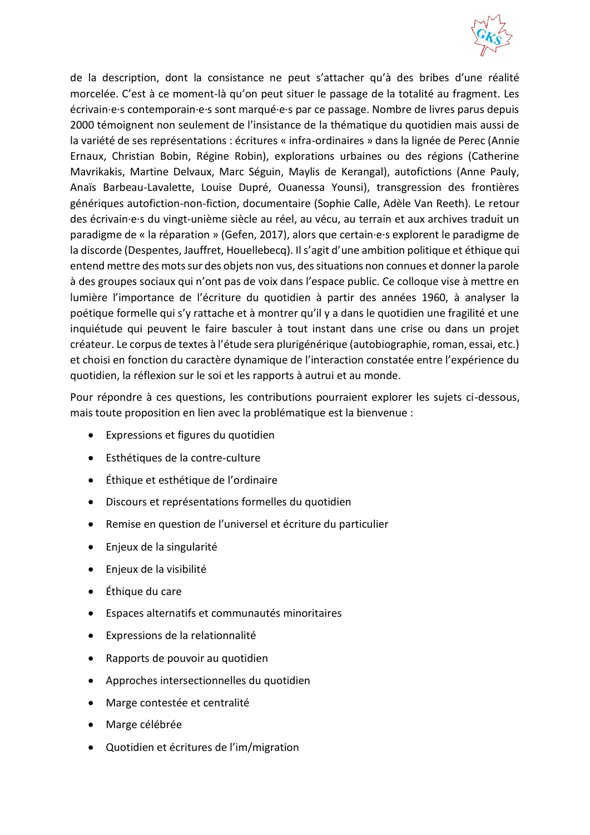

de la description, dont la consistance ne peut s'attacher qu'à des bribes d'une réalité morcelée. C'est à ce moment-là qu'on peut situer le passage de la totalité au fragment. Les écrivain·e·s contemporain·e·s sont marqué·e·s par ce passage. Nombre de livres parus depuis 2000 témoignent non seulement de l'insistance de la thématique du quotidien mais aussi de la variété de ses représentations : écritures « infra-ordinaires » dans la lignée de Perec (Annie Ernaux, Christian Bobin, Régine Robin), explorations urbaines ou des régions (Catherine Mavrikakis, Martine Delvaux, Marc Séguin, Maylis de Kerangal), autofictions (Anne Pauly, Anaïs Barbeau-Lavalette, Louise Dupré, Ouanessa Younsi), transgression des frontières génériques autofiction-non-fiction, documentaire (Sophie Calle, Adèle Van Reeth). Le retour des écrivain·e·s du vingt-unième siècle au réel, au vécu, au terrain et aux archives traduit un paradigme de « la réparation » (Gefen, 2017), alors que certain·e·s explorent le paradigme de la discorde (Despentes, Jauffret, Houellebecq). Il s'agit d'une ambition politique et éthique qui entend mettre des mots sur des objets non vus, des situations non connues et donner la parole à des groupes sociaux qui n'ont pas de voix dans l'espace public. Ce colloque vise à mettre en lumière l'importance de l'écriture du quotidien à partir des années 1960, à analyser la poétique formelle qui s'y rattache et à montrer qu'il y a dans le quotidien une fragilité et une inquiétude qui peuvent le faire basculer à tout instant dans une crise ou dans un projet créateur. Le corpus de textes à l'étude sera plurigénérique (autobiographie, roman, essai, etc.) et choisi en fonction du caractère dynamique de l'interaction constatée entre l'expérience du quotidien, la réflexion sur le soi et les rapports à autrui et au monde.

Pour répondre à ces questions, les contributions pourraient explorer les sujets ci-dessous, mais toute proposition en lien avec la problématique est la bienvenue :

- Expressions et figures du quotidien
- Esthétiques de la contre-culture
- Éthique et esthétique de l'ordinaire
- Discours et représentations formelles du quotidien
- Remise en question de l'universel et écriture du particulier
- Enjeux de la singularité
- Enjeux de la visibilité
- Éthique du care
- Espaces alternatifs et communautés minoritaires
- Expressions de la relationnalité
- Rapports de pouvoir au quotidien
- Approches intersectionnelles du quotidien
- Marge contestée et centralité
- Marge célébrée
- Quotidien et écritures de l'im/migration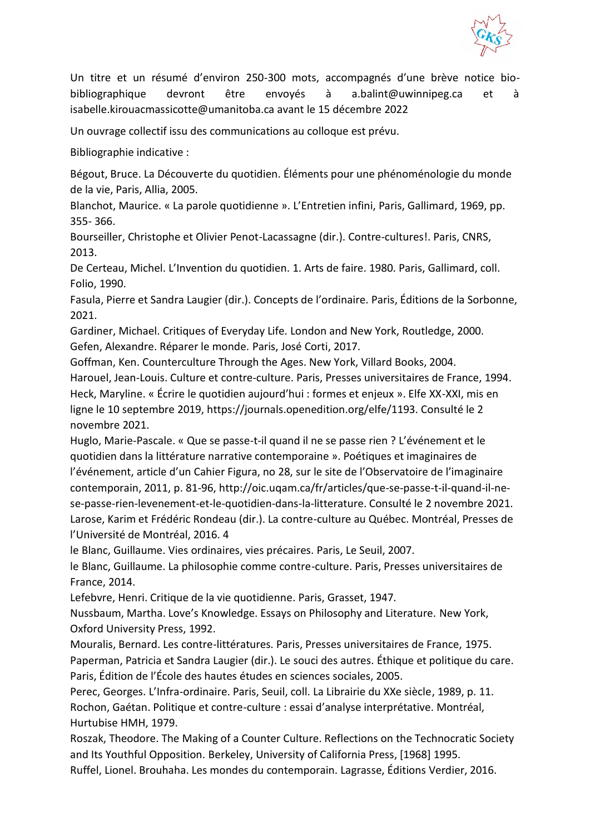

Un titre et un résumé d'environ 250-300 mots, accompagnés d'une brève notice biobibliographique devront être envoyés à a.balint@uwinnipeg.ca et à isabelle.kirouacmassicotte@umanitoba.ca avant le 15 décembre 2022

Un ouvrage collectif issu des communications au colloque est prévu.

Bibliographie indicative :

Bégout, Bruce. La Découverte du quotidien. Éléments pour une phénoménologie du monde de la vie, Paris, Allia, 2005.

Blanchot, Maurice. « La parole quotidienne ». L'Entretien infini, Paris, Gallimard, 1969, pp. 355- 366.

Bourseiller, Christophe et Olivier Penot-Lacassagne (dir.). Contre-cultures!. Paris, CNRS, 2013.

De Certeau, Michel. L'Invention du quotidien. 1. Arts de faire. 1980. Paris, Gallimard, coll. Folio, 1990.

Fasula, Pierre et Sandra Laugier (dir.). Concepts de l'ordinaire. Paris, Éditions de la Sorbonne, 2021.

Gardiner, Michael. Critiques of Everyday Life. London and New York, Routledge, 2000. Gefen, Alexandre. Réparer le monde. Paris, José Corti, 2017.

Goffman, Ken. Counterculture Through the Ages. New York, Villard Books, 2004. Harouel, Jean-Louis. Culture et contre-culture. Paris, Presses universitaires de France, 1994. Heck, Maryline. « Écrire le quotidien aujourd'hui : formes et enjeux ». Elfe XX-XXI, mis en ligne le 10 septembre 2019, https://journals.openedition.org/elfe/1193. Consulté le 2 novembre 2021.

Huglo, Marie-Pascale. « Que se passe-t-il quand il ne se passe rien ? L'événement et le quotidien dans la littérature narrative contemporaine ». Poétiques et imaginaires de l'événement, article d'un Cahier Figura, no 28, sur le site de l'Observatoire de l'imaginaire contemporain, 2011, p. 81-96, http://oic.uqam.ca/fr/articles/que-se-passe-t-il-quand-il-nese-passe-rien-levenement-et-le-quotidien-dans-la-litterature. Consulté le 2 novembre 2021. Larose, Karim et Frédéric Rondeau (dir.). La contre-culture au Québec. Montréal, Presses de l'Université de Montréal, 2016. 4

le Blanc, Guillaume. Vies ordinaires, vies précaires. Paris, Le Seuil, 2007.

le Blanc, Guillaume. La philosophie comme contre-culture. Paris, Presses universitaires de France, 2014.

Lefebvre, Henri. Critique de la vie quotidienne. Paris, Grasset, 1947.

Nussbaum, Martha. Love's Knowledge. Essays on Philosophy and Literature. New York, Oxford University Press, 1992.

Mouralis, Bernard. Les contre-littératures. Paris, Presses universitaires de France, 1975. Paperman, Patricia et Sandra Laugier (dir.). Le souci des autres. Éthique et politique du care. Paris, Édition de l'École des hautes études en sciences sociales, 2005.

Perec, Georges. L'Infra-ordinaire. Paris, Seuil, coll. La Librairie du XXe siècle, 1989, p. 11. Rochon, Gaétan. Politique et contre-culture : essai d'analyse interprétative. Montréal, Hurtubise HMH, 1979.

Roszak, Theodore. The Making of a Counter Culture. Reflections on the Technocratic Society and Its Youthful Opposition. Berkeley, University of California Press, [1968] 1995. Ruffel, Lionel. Brouhaha. Les mondes du contemporain. Lagrasse, Éditions Verdier, 2016.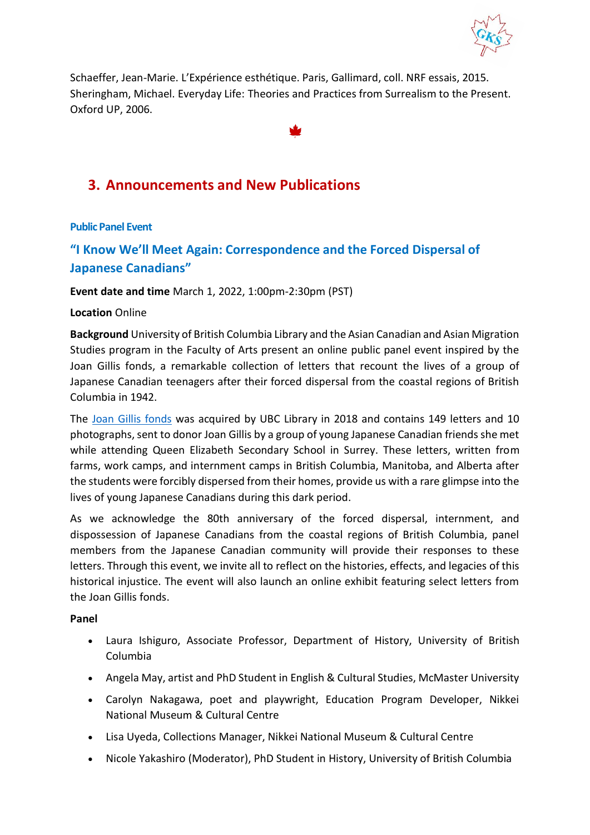

Schaeffer, Jean-Marie. L'Expérience esthétique. Paris, Gallimard, coll. NRF essais, 2015. Sheringham, Michael. Everyday Life: Theories and Practices from Surrealism to the Present. Oxford UP, 2006.

# <span id="page-11-0"></span>**3. Announcements and New Publications**

## <span id="page-11-1"></span>**Public Panel Event**

# <span id="page-11-2"></span>**"I Know We'll Meet Again: Correspondence and the Forced Dispersal of Japanese Canadians"**

**Event date and time** March 1, 2022, 1:00pm-2:30pm (PST)

## **Location** Online

**Background** University of British Columbia Library and the Asian Canadian and Asian Migration Studies program in the Faculty of Arts present an online public panel event inspired by the Joan Gillis fonds, a remarkable collection of letters that recount the lives of a group of Japanese Canadian teenagers after their forced dispersal from the coastal regions of British Columbia in 1942.

The [Joan Gillis fonds](https://rbscarchives.library.ubc.ca/joan-gillis-fonds) was acquired by UBC Library in 2018 and contains 149 letters and 10 photographs, sent to donor Joan Gillis by a group of young Japanese Canadian friends she met while attending Queen Elizabeth Secondary School in Surrey. These letters, written from farms, work camps, and internment camps in British Columbia, Manitoba, and Alberta after the students were forcibly dispersed from their homes, provide us with a rare glimpse into the lives of young Japanese Canadians during this dark period.

As we acknowledge the 80th anniversary of the forced dispersal, internment, and dispossession of Japanese Canadians from the coastal regions of British Columbia, panel members from the Japanese Canadian community will provide their responses to these letters. Through this event, we invite all to reflect on the histories, effects, and legacies of this historical injustice. The event will also launch an online exhibit featuring select letters from the Joan Gillis fonds.

## **Panel**

- Laura Ishiguro, Associate Professor, Department of History, University of British Columbia
- Angela May, artist and PhD Student in English & Cultural Studies, McMaster University
- Carolyn Nakagawa, poet and playwright, Education Program Developer, Nikkei National Museum & Cultural Centre
- Lisa Uyeda, Collections Manager, Nikkei National Museum & Cultural Centre
- Nicole Yakashiro (Moderator), PhD Student in History, University of British Columbia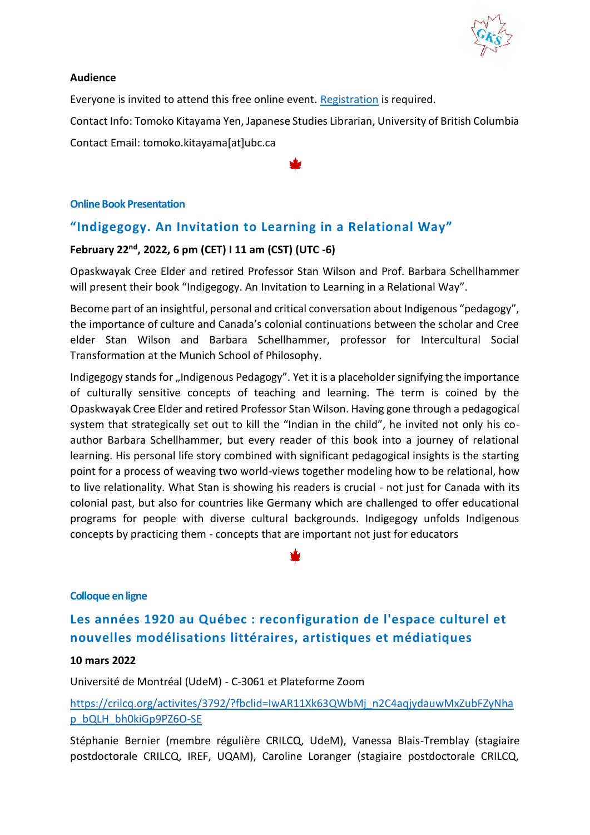

## **Audience**

Everyone is invited to attend this free online event. [Registration](https://bit.ly/gillis22) is required.

Contact Info: Tomoko Kitayama Yen, Japanese Studies Librarian, University of British Columbia Contact Email: tomoko.kitayama[at]ubc.ca

## <span id="page-12-0"></span>**Online Book Presentation**

# <span id="page-12-1"></span>**"Indigegogy. An Invitation to Learning in a Relational Way"**

# **February 22nd , 2022, 6 pm (CET) I 11 am (CST) (UTC -6)**

Opaskwayak Cree Elder and retired Professor Stan Wilson and Prof. Barbara Schellhammer will present their book "Indigegogy. An Invitation to Learning in a Relational Way".

Become part of an insightful, personal and critical conversation about Indigenous "pedagogy", the importance of culture and Canada's colonial continuations between the scholar and Cree elder Stan Wilson and Barbara Schellhammer, professor for Intercultural Social Transformation at the Munich School of Philosophy.

Indigegogy stands for "Indigenous Pedagogy". Yet it is a placeholder signifying the importance of culturally sensitive concepts of teaching and learning. The term is coined by the Opaskwayak Cree Elder and retired Professor Stan Wilson. Having gone through a pedagogical system that strategically set out to kill the "Indian in the child", he invited not only his coauthor Barbara Schellhammer, but every reader of this book into a journey of relational learning. His personal life story combined with significant pedagogical insights is the starting point for a process of weaving two world-views together modeling how to be relational, how to live relationality. What Stan is showing his readers is crucial - not just for Canada with its colonial past, but also for countries like Germany which are challenged to offer educational programs for people with diverse cultural backgrounds. Indigegogy unfolds Indigenous concepts by practicing them - concepts that are important not just for educators

## <span id="page-12-2"></span>**Colloque en ligne**

# <span id="page-12-3"></span>**Les années 1920 au Québec : reconfiguration de l'espace culturel et nouvelles modélisations littéraires, artistiques et médiatiques**

#### **10 mars 2022**

Université de Montréal (UdeM) - C-3061 et Plateforme Zoom

[https://crilcq.org/activites/3792/?fbclid=IwAR11Xk63QWbMj\\_n2C4aqjydauwMxZubFZyNha](https://crilcq.org/activites/3792/?fbclid=IwAR11Xk63QWbMj_n2C4aqjydauwMxZubFZyNhap_bQLH_bh0kiGp9PZ6O-SE) [p\\_bQLH\\_bh0kiGp9PZ6O-SE](https://crilcq.org/activites/3792/?fbclid=IwAR11Xk63QWbMj_n2C4aqjydauwMxZubFZyNhap_bQLH_bh0kiGp9PZ6O-SE)

Stéphanie Bernier (membre régulière CRILCQ, UdeM), Vanessa Blais-Tremblay (stagiaire postdoctorale CRILCQ, IREF, UQAM), Caroline Loranger (stagiaire postdoctorale CRILCQ,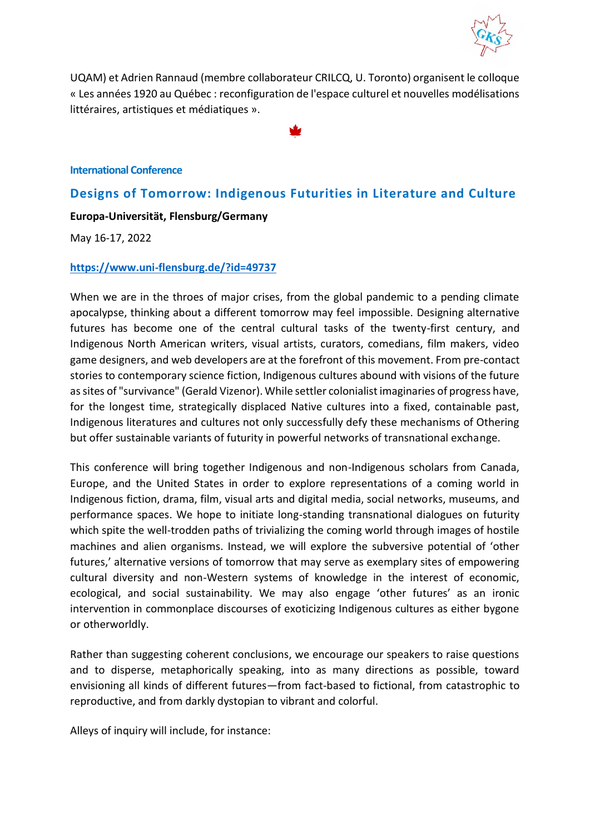

UQAM) et Adrien Rannaud (membre collaborateur CRILCQ, U. Toronto) organisent le colloque « Les années 1920 au Québec : reconfiguration de l'espace culturel et nouvelles modélisations littéraires, artistiques et médiatiques ».

#### <span id="page-13-0"></span>**International Conference**

# <span id="page-13-1"></span>**Designs of Tomorrow: Indigenous Futurities in Literature and Culture**

## **Europa-Universität, Flensburg/Germany**

#### May 16-17, 2022

#### **<https://www.uni-flensburg.de/?id=49737>**

When we are in the throes of major crises, from the global pandemic to a pending climate apocalypse, thinking about a different tomorrow may feel impossible. Designing alternative futures has become one of the central cultural tasks of the twenty-first century, and Indigenous North American writers, visual artists, curators, comedians, film makers, video game designers, and web developers are at the forefront of this movement. From pre-contact stories to contemporary science fiction, Indigenous cultures abound with visions of the future as sites of "survivance" (Gerald Vizenor). While settler colonialist imaginaries of progress have, for the longest time, strategically displaced Native cultures into a fixed, containable past, Indigenous literatures and cultures not only successfully defy these mechanisms of Othering but offer sustainable variants of futurity in powerful networks of transnational exchange.

This conference will bring together Indigenous and non-Indigenous scholars from Canada, Europe, and the United States in order to explore representations of a coming world in Indigenous fiction, drama, film, visual arts and digital media, social networks, museums, and performance spaces. We hope to initiate long-standing transnational dialogues on futurity which spite the well-trodden paths of trivializing the coming world through images of hostile machines and alien organisms. Instead, we will explore the subversive potential of 'other futures,' alternative versions of tomorrow that may serve as exemplary sites of empowering cultural diversity and non-Western systems of knowledge in the interest of economic, ecological, and social sustainability. We may also engage 'other futures' as an ironic intervention in commonplace discourses of exoticizing Indigenous cultures as either bygone or otherworldly.

Rather than suggesting coherent conclusions, we encourage our speakers to raise questions and to disperse, metaphorically speaking, into as many directions as possible, toward envisioning all kinds of different futures—from fact-based to fictional, from catastrophic to reproductive, and from darkly dystopian to vibrant and colorful.

Alleys of inquiry will include, for instance: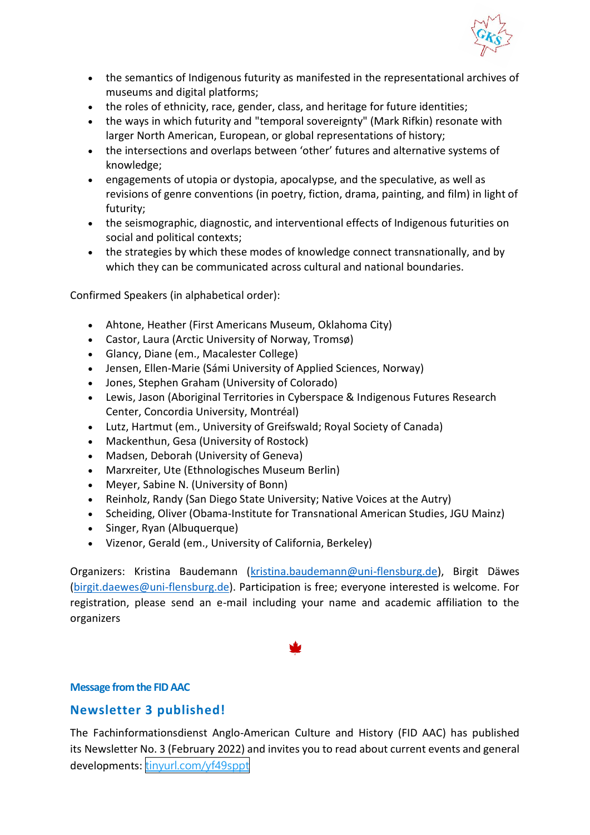

- the semantics of Indigenous futurity as manifested in the representational archives of museums and digital platforms;
- the roles of ethnicity, race, gender, class, and heritage for future identities;
- the ways in which futurity and "temporal sovereignty" (Mark Rifkin) resonate with larger North American, European, or global representations of history;
- the intersections and overlaps between 'other' futures and alternative systems of knowledge;
- engagements of utopia or dystopia, apocalypse, and the speculative, as well as revisions of genre conventions (in poetry, fiction, drama, painting, and film) in light of futurity;
- the seismographic, diagnostic, and interventional effects of Indigenous futurities on social and political contexts;
- the strategies by which these modes of knowledge connect transnationally, and by which they can be communicated across cultural and national boundaries.

Confirmed Speakers (in alphabetical order):

- Ahtone, Heather (First Americans Museum, Oklahoma City)
- Castor, Laura (Arctic University of Norway, Tromsø)
- Glancy, Diane (em., Macalester College)
- Jensen, Ellen-Marie (Sámi University of Applied Sciences, Norway)
- Jones, Stephen Graham (University of Colorado)
- Lewis, Jason (Aboriginal Territories in Cyberspace & Indigenous Futures Research Center, Concordia University, Montréal)
- Lutz, Hartmut (em., University of Greifswald; Royal Society of Canada)
- Mackenthun, Gesa (University of Rostock)
- Madsen, Deborah (University of Geneva)
- Marxreiter, Ute (Ethnologisches Museum Berlin)
- Meyer, Sabine N. (University of Bonn)
- Reinholz, Randy (San Diego State University; Native Voices at the Autry)
- Scheiding, Oliver (Obama-Institute for Transnational American Studies, JGU Mainz)
- Singer, Ryan (Albuquerque)
- Vizenor, Gerald (em., University of California, Berkeley)

Organizers: Kristina Baudemann [\(kristina.baudemann@uni-flensburg.de\)](mailto:kristina.baudemann@uni-flensburg.de), Birgit Däwes [\(birgit.daewes@uni-flensburg.de\)](mailto:birgit.daewes@uni-flensburg.de). Participation is free; everyone interested is welcome. For registration, please send an e-mail including your name and academic affiliation to the organizers

## <span id="page-14-0"></span>**Message from the FID AAC**

## <span id="page-14-1"></span>**Newsletter 3 published!**

The Fachinformationsdienst Anglo-American Culture and History (FID AAC) has published its Newsletter No. 3 (February 2022) and invites you to read about current events and general developments: [tinyurl.com/yf49sppt](https://t.co/ifXCO6oOV5)